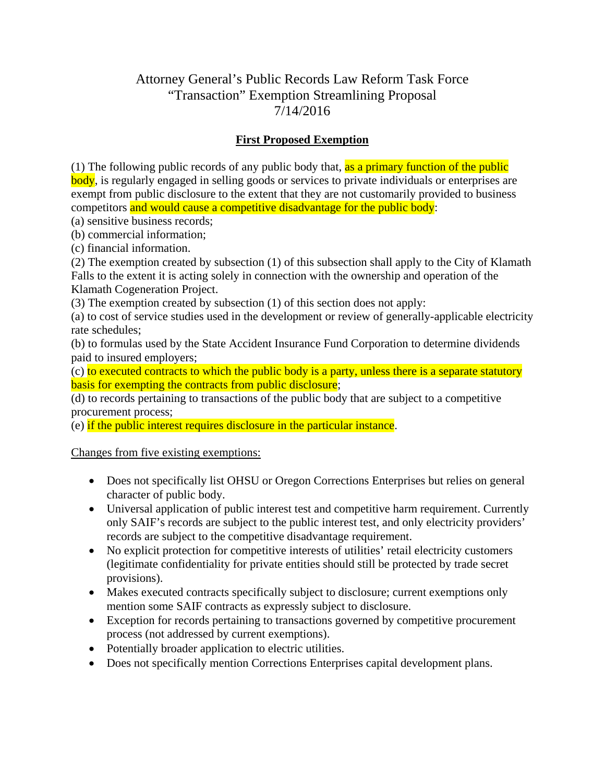# Attorney General's Public Records Law Reform Task Force "Transaction" Exemption Streamlining Proposal 7/14/2016

#### **First Proposed Exemption**

(1) The following public records of any public body that, as a primary function of the public body, is regularly engaged in selling goods or services to private individuals or enterprises are exempt from public disclosure to the extent that they are not customarily provided to business competitors and would cause a competitive disadvantage for the public body:

(a) sensitive business records;

(b) commercial information;

(c) financial information.

(2) The exemption created by subsection (1) of this subsection shall apply to the City of Klamath Falls to the extent it is acting solely in connection with the ownership and operation of the Klamath Cogeneration Project.

(3) The exemption created by subsection (1) of this section does not apply:

(a) to cost of service studies used in the development or review of generally-applicable electricity rate schedules;

(b) to formulas used by the State Accident Insurance Fund Corporation to determine dividends paid to insured employers;

(c) to executed contracts to which the public body is a party, unless there is a separate statutory basis for exempting the contracts from public disclosure;

(d) to records pertaining to transactions of the public body that are subject to a competitive procurement process;

(e) if the public interest requires disclosure in the particular instance.

Changes from five existing exemptions:

- Does not specifically list OHSU or Oregon Corrections Enterprises but relies on general character of public body.
- Universal application of public interest test and competitive harm requirement. Currently only SAIF's records are subject to the public interest test, and only electricity providers' records are subject to the competitive disadvantage requirement.
- No explicit protection for competitive interests of utilities' retail electricity customers (legitimate confidentiality for private entities should still be protected by trade secret provisions).
- Makes executed contracts specifically subject to disclosure; current exemptions only mention some SAIF contracts as expressly subject to disclosure.
- Exception for records pertaining to transactions governed by competitive procurement process (not addressed by current exemptions).
- Potentially broader application to electric utilities.
- Does not specifically mention Corrections Enterprises capital development plans.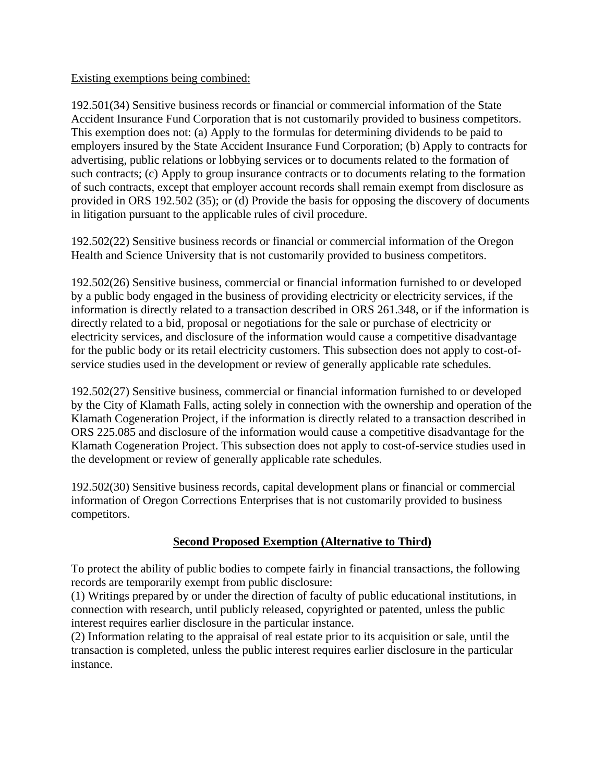#### Existing exemptions being combined:

192.501(34) Sensitive business records or financial or commercial information of the State Accident Insurance Fund Corporation that is not customarily provided to business competitors. This exemption does not: (a) Apply to the formulas for determining dividends to be paid to employers insured by the State Accident Insurance Fund Corporation; (b) Apply to contracts for advertising, public relations or lobbying services or to documents related to the formation of such contracts; (c) Apply to group insurance contracts or to documents relating to the formation of such contracts, except that employer account records shall remain exempt from disclosure as provided in ORS 192.502 (35); or (d) Provide the basis for opposing the discovery of documents in litigation pursuant to the applicable rules of civil procedure.

192.502(22) Sensitive business records or financial or commercial information of the Oregon Health and Science University that is not customarily provided to business competitors.

192.502(26) Sensitive business, commercial or financial information furnished to or developed by a public body engaged in the business of providing electricity or electricity services, if the information is directly related to a transaction described in ORS 261.348, or if the information is directly related to a bid, proposal or negotiations for the sale or purchase of electricity or electricity services, and disclosure of the information would cause a competitive disadvantage for the public body or its retail electricity customers. This subsection does not apply to cost-ofservice studies used in the development or review of generally applicable rate schedules.

192.502(27) Sensitive business, commercial or financial information furnished to or developed by the City of Klamath Falls, acting solely in connection with the ownership and operation of the Klamath Cogeneration Project, if the information is directly related to a transaction described in ORS 225.085 and disclosure of the information would cause a competitive disadvantage for the Klamath Cogeneration Project. This subsection does not apply to cost-of-service studies used in the development or review of generally applicable rate schedules.

192.502(30) Sensitive business records, capital development plans or financial or commercial information of Oregon Corrections Enterprises that is not customarily provided to business competitors.

### **Second Proposed Exemption (Alternative to Third)**

To protect the ability of public bodies to compete fairly in financial transactions, the following records are temporarily exempt from public disclosure:

(1) Writings prepared by or under the direction of faculty of public educational institutions, in connection with research, until publicly released, copyrighted or patented, unless the public interest requires earlier disclosure in the particular instance.

(2) Information relating to the appraisal of real estate prior to its acquisition or sale, until the transaction is completed, unless the public interest requires earlier disclosure in the particular instance.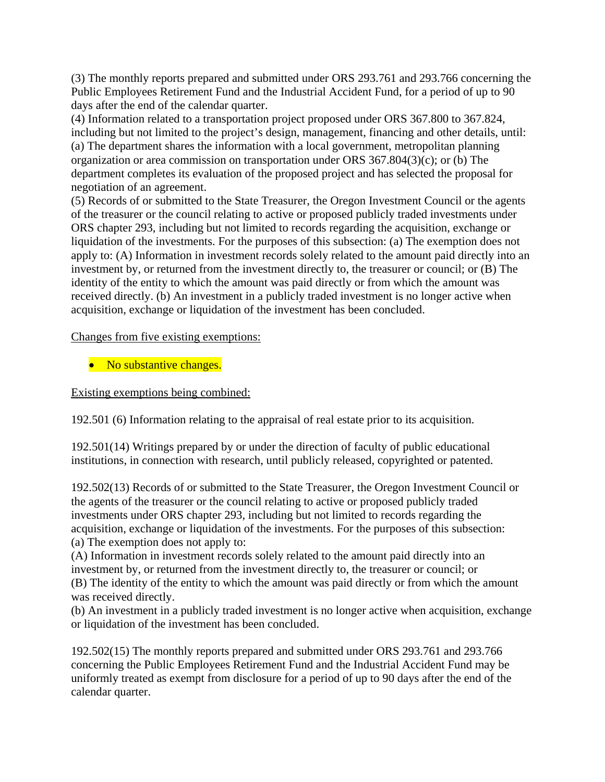(3) The monthly reports prepared and submitted under ORS 293.761 and 293.766 concerning the Public Employees Retirement Fund and the Industrial Accident Fund, for a period of up to 90 days after the end of the calendar quarter.

(4) Information related to a transportation project proposed under ORS 367.800 to 367.824, including but not limited to the project's design, management, financing and other details, until: (a) The department shares the information with a local government, metropolitan planning organization or area commission on transportation under ORS 367.804(3)(c); or (b) The department completes its evaluation of the proposed project and has selected the proposal for negotiation of an agreement.

(5) Records of or submitted to the State Treasurer, the Oregon Investment Council or the agents of the treasurer or the council relating to active or proposed publicly traded investments under ORS chapter 293, including but not limited to records regarding the acquisition, exchange or liquidation of the investments. For the purposes of this subsection: (a) The exemption does not apply to: (A) Information in investment records solely related to the amount paid directly into an investment by, or returned from the investment directly to, the treasurer or council; or (B) The identity of the entity to which the amount was paid directly or from which the amount was received directly. (b) An investment in a publicly traded investment is no longer active when acquisition, exchange or liquidation of the investment has been concluded.

Changes from five existing exemptions:

• No substantive changes.

Existing exemptions being combined:

192.501 (6) Information relating to the appraisal of real estate prior to its acquisition.

192.501(14) Writings prepared by or under the direction of faculty of public educational institutions, in connection with research, until publicly released, copyrighted or patented.

192.502(13) Records of or submitted to the State Treasurer, the Oregon Investment Council or the agents of the treasurer or the council relating to active or proposed publicly traded investments under ORS chapter 293, including but not limited to records regarding the acquisition, exchange or liquidation of the investments. For the purposes of this subsection: (a) The exemption does not apply to:

(A) Information in investment records solely related to the amount paid directly into an investment by, or returned from the investment directly to, the treasurer or council; or (B) The identity of the entity to which the amount was paid directly or from which the amount was received directly.

(b) An investment in a publicly traded investment is no longer active when acquisition, exchange or liquidation of the investment has been concluded.

192.502(15) The monthly reports prepared and submitted under ORS 293.761 and 293.766 concerning the Public Employees Retirement Fund and the Industrial Accident Fund may be uniformly treated as exempt from disclosure for a period of up to 90 days after the end of the calendar quarter.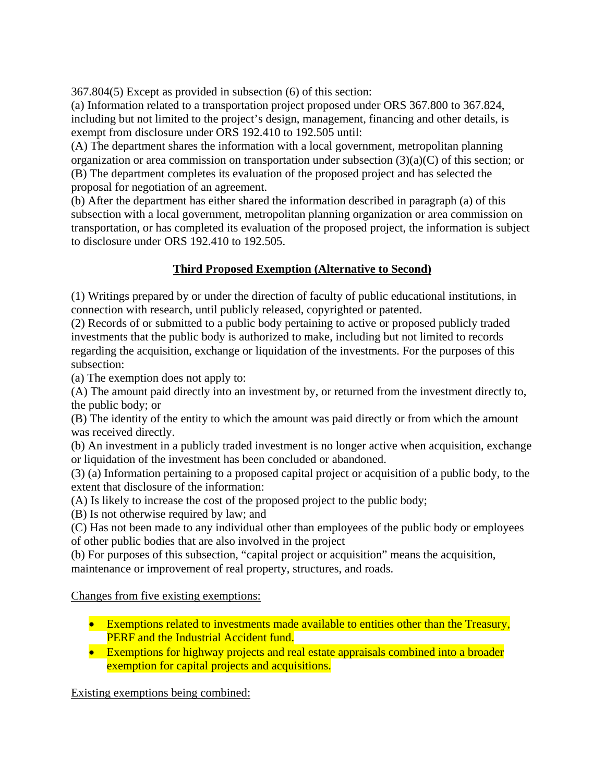367.804(5) Except as provided in subsection (6) of this section:

(a) Information related to a transportation project proposed under ORS 367.800 to 367.824, including but not limited to the project's design, management, financing and other details, is exempt from disclosure under ORS 192.410 to 192.505 until:

(A) The department shares the information with a local government, metropolitan planning organization or area commission on transportation under subsection (3)(a)(C) of this section; or (B) The department completes its evaluation of the proposed project and has selected the proposal for negotiation of an agreement.

(b) After the department has either shared the information described in paragraph (a) of this subsection with a local government, metropolitan planning organization or area commission on transportation, or has completed its evaluation of the proposed project, the information is subject to disclosure under ORS 192.410 to 192.505.

## **Third Proposed Exemption (Alternative to Second)**

(1) Writings prepared by or under the direction of faculty of public educational institutions, in connection with research, until publicly released, copyrighted or patented.

(2) Records of or submitted to a public body pertaining to active or proposed publicly traded investments that the public body is authorized to make, including but not limited to records regarding the acquisition, exchange or liquidation of the investments. For the purposes of this subsection:

(a) The exemption does not apply to:

(A) The amount paid directly into an investment by, or returned from the investment directly to, the public body; or

(B) The identity of the entity to which the amount was paid directly or from which the amount was received directly.

(b) An investment in a publicly traded investment is no longer active when acquisition, exchange or liquidation of the investment has been concluded or abandoned.

(3) (a) Information pertaining to a proposed capital project or acquisition of a public body, to the extent that disclosure of the information:

(A) Is likely to increase the cost of the proposed project to the public body;

(B) Is not otherwise required by law; and

(C) Has not been made to any individual other than employees of the public body or employees of other public bodies that are also involved in the project

(b) For purposes of this subsection, "capital project or acquisition" means the acquisition, maintenance or improvement of real property, structures, and roads.

### Changes from five existing exemptions:

- Exemptions related to investments made available to entities other than the Treasury, PERF and the Industrial Accident fund.
- Exemptions for highway projects and real estate appraisals combined into a broader exemption for capital projects and acquisitions.

Existing exemptions being combined: